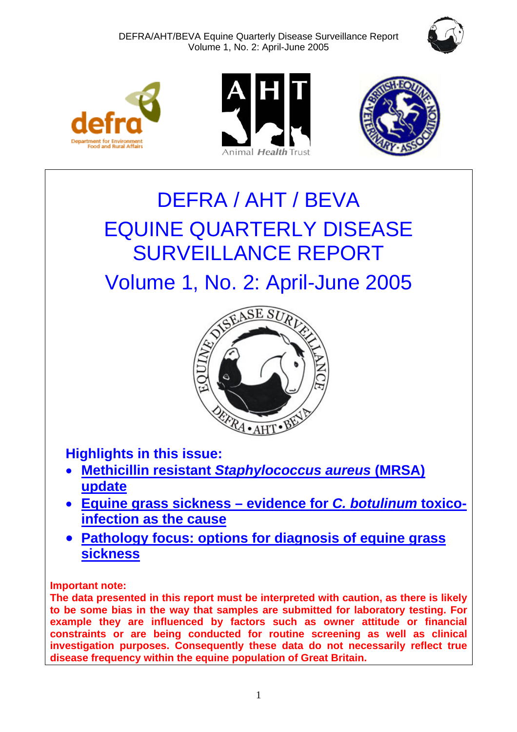









# DEFRA / AHT / BEVA EQUINE QUARTERLY DISEASE SURVEILLANCE REPORT Volume 1, No. 2: April-June 2005



## **[Highlights in this issue:](#page-8-1)**

- **Methicillin resistant** *[Staphylococcus aureus](#page-8-0)* **(MRSA) [update](#page-8-0)**
- **[E](#page-9-1)[quine grass sickness evidence for](#page-9-0)** *C. botulinum* **toxico[infection as the cause](#page-9-0)**
- **[P](#page-13-1)[athology focus: options for diagnosis of equine grass](#page-13-0)  [sickness](#page-13-0)**

## **Important note:**

**The data presented in this report must be interpreted with caution, as there is likely to be some bias in the way that samples are submitted for laboratory testing. For example they are influenced by factors such as owner attitude or financial constraints or are being conducted for routine screening as well as clinical investigation purposes. Consequently these data do not necessarily reflect true disease frequency within the equine population of Great Britain.**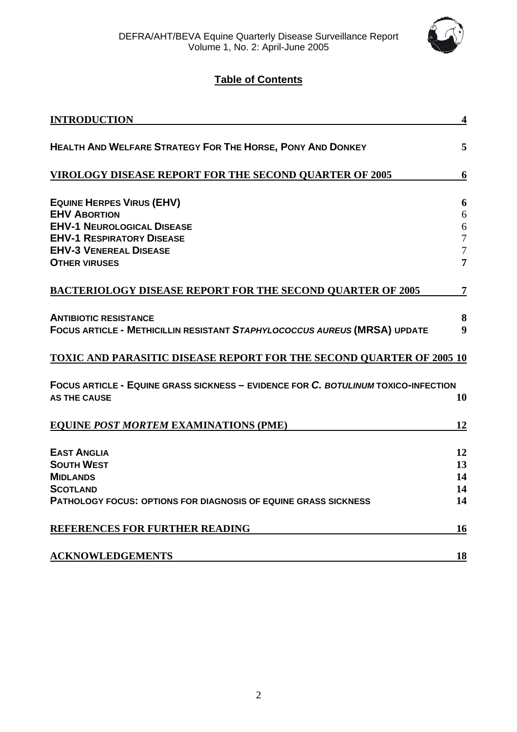

## **Table of Contents**

| <b>INTRODUCTION</b>                                                                                       | 4              |
|-----------------------------------------------------------------------------------------------------------|----------------|
| <b>HEALTH AND WELFARE STRATEGY FOR THE HORSE, PONY AND DONKEY</b>                                         | 5              |
| VIROLOGY DISEASE REPORT FOR THE SECOND QUARTER OF 2005                                                    | 6              |
| <b>EQUINE HERPES VIRUS (EHV)</b>                                                                          | 6              |
| <b>EHV ABORTION</b>                                                                                       | 6              |
| <b>EHV-1 NEUROLOGICAL DISEASE</b>                                                                         | 6              |
| <b>EHV-1 RESPIRATORY DISEASE</b>                                                                          | $\tau$         |
| <b>EHV-3 VENEREAL DISEASE</b>                                                                             | $\overline{7}$ |
| <b>OTHER VIRUSES</b>                                                                                      | 7              |
| <b>BACTERIOLOGY DISEASE REPORT FOR THE SECOND QUARTER OF 2005</b>                                         | 7              |
| <b>ANTIBIOTIC RESISTANCE</b>                                                                              | 8              |
| FOCUS ARTICLE - METHICILLIN RESISTANT STAPHYLOCOCCUS AUREUS (MRSA) UPDATE                                 | 9              |
| <b>TOXIC AND PARASITIC DISEASE REPORT FOR THE SECOND QUARTER OF 2005 10</b>                               |                |
| FOCUS ARTICLE - EQUINE GRASS SICKNESS - EVIDENCE FOR C. BOTULINUM TOXICO-INFECTION<br><b>AS THE CAUSE</b> | 10             |
| <b>EQUINE POST MORTEM EXAMINATIONS (PME)</b>                                                              | 12             |
| <b>EAST ANGLIA</b>                                                                                        | 12             |
| <b>SOUTH WEST</b>                                                                                         | 13             |
| <b>MIDLANDS</b>                                                                                           | 14             |
| <b>SCOTLAND</b>                                                                                           | 14             |
| <b>PATHOLOGY FOCUS: OPTIONS FOR DIAGNOSIS OF EQUINE GRASS SICKNESS</b>                                    | 14             |
| REFERENCES FOR FURTHER READING                                                                            | <b>16</b>      |
| <b>ACKNOWLEDGEMENTS</b>                                                                                   | 18             |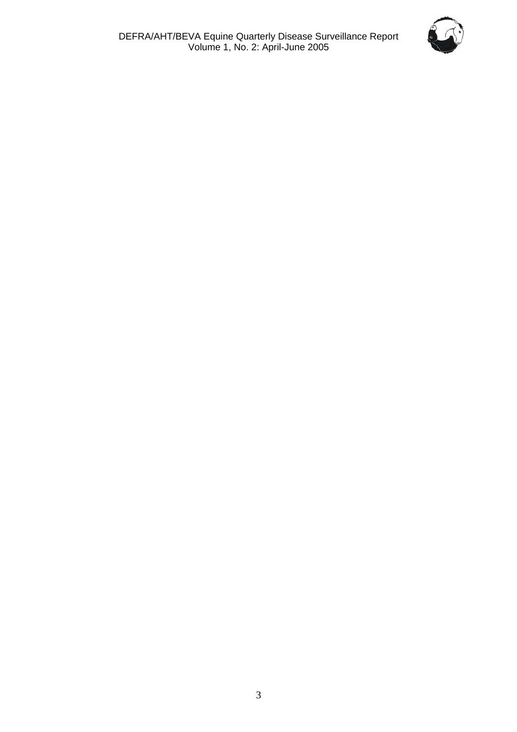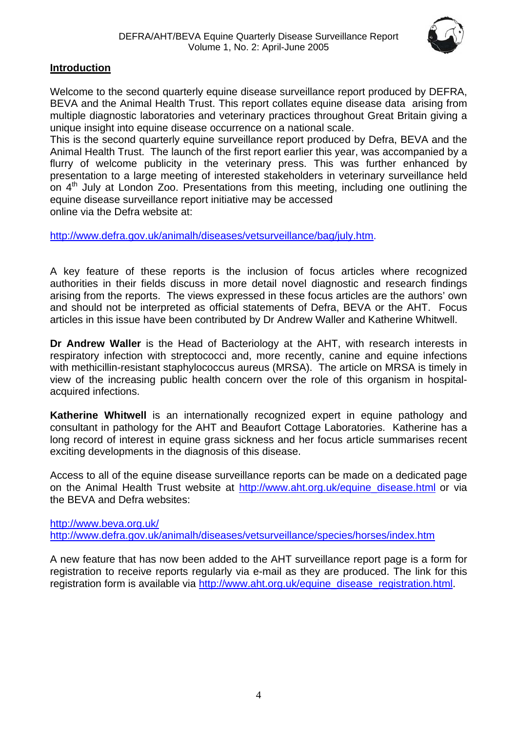

## <span id="page-3-1"></span><span id="page-3-0"></span>**Introduction**

Welcome to the second quarterly equine disease surveillance report produced by DEFRA, BEVA and the Animal Health Trust. This report collates equine disease data arising from multiple diagnostic laboratories and veterinary practices throughout Great Britain giving a unique insight into equine disease occurrence on a national scale.

This is the second quarterly equine surveillance report produced by Defra, BEVA and the Animal Health Trust. The launch of the first report earlier this year, was accompanied by a flurry of welcome publicity in the veterinary press. This was further enhanced by presentation to a large meeting of interested stakeholders in veterinary surveillance held on  $4<sup>th</sup>$  July at London Zoo. Presentations from this meeting, including one outlining the equine disease surveillance report initiative may be accessed online via the Defra website at:

http://www.defra.gov.uk/animalh/diseases/vetsurveillance/bag/july.htm.

A key feature of these reports is the inclusion of focus articles where recognized authorities in their fields discuss in more detail novel diagnostic and research findings arising from the reports. The views expressed in these focus articles are the authors' own and should not be interpreted as official statements of Defra, BEVA or the AHT. Focus articles in this issue have been contributed by Dr Andrew Waller and Katherine Whitwell.

**Dr Andrew Waller** is the Head of Bacteriology at the AHT, with research interests in respiratory infection with streptococci and, more recently, canine and equine infections with methicillin-resistant staphylococcus aureus (MRSA). The article on MRSA is timely in view of the increasing public health concern over the role of this organism in hospitalacquired infections.

**Katherine Whitwell** is an internationally recognized expert in equine pathology and consultant in pathology for the AHT and Beaufort Cottage Laboratories. Katherine has a long record of interest in equine grass sickness and her focus article summarises recent exciting developments in the diagnosis of this disease.

Access to all of the equine disease surveillance reports can be made on a dedicated page on the Animal Health Trust website a[t http://www.aht.org.uk/equine\\_disease.html](http://www.aht.org.uk/equine_disease.html) or via the BEVA and Defra websites:

<http://www.beva.org.uk/> <http://www.defra.gov.uk/animalh/diseases/vetsurveillance/species/horses/index.htm>

A new feature that has now been added to the AHT surveillance report page is a form for registration to receive reports regularly via e-mail as they are produced. The link for this registration form is available via [http://www.aht.org.uk/equine\\_disease\\_registration.html.](http://www.aht.org.uk/equine_disease_registration.html)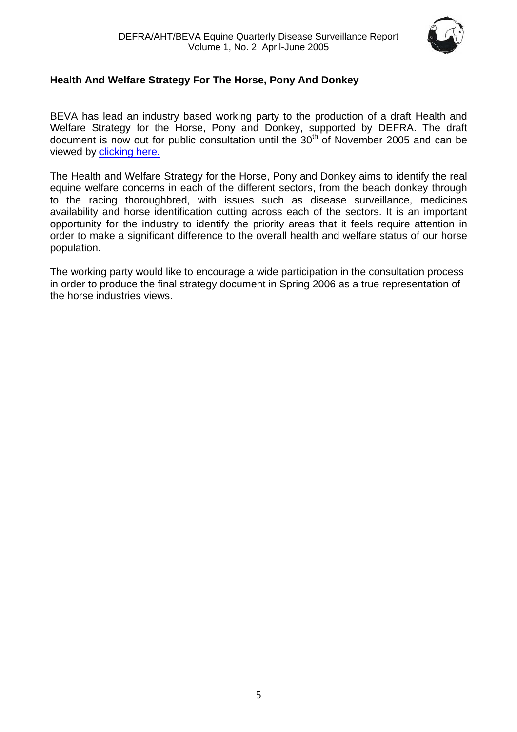

## <span id="page-4-1"></span><span id="page-4-0"></span>**Health And Welfare Strategy For The Horse, Pony And Donkey**

BEVA has lead an industry based working party to the production of a draft Health and Welfare Strategy for the Horse, Pony and Donkey, supported by DEFRA. The draft document is now out for public consultation until the  $30<sup>th</sup>$  of November 2005 and can be viewed by [clicking here.](http://www.defra.gov.uk/animalh/ahws/ehws/index.htm)

The Health and Welfare Strategy for the Horse, Pony and Donkey aims to identify the real equine welfare concerns in each of the different sectors, from the beach donkey through to the racing thoroughbred, with issues such as disease surveillance, medicines availability and horse identification cutting across each of the sectors. It is an important opportunity for the industry to identify the priority areas that it feels require attention in order to make a significant difference to the overall health and welfare status of our horse population.

The working party would like to encourage a wide participation in the consultation process in order to produce the final strategy document in Spring 2006 as a true representation of the horse industries views.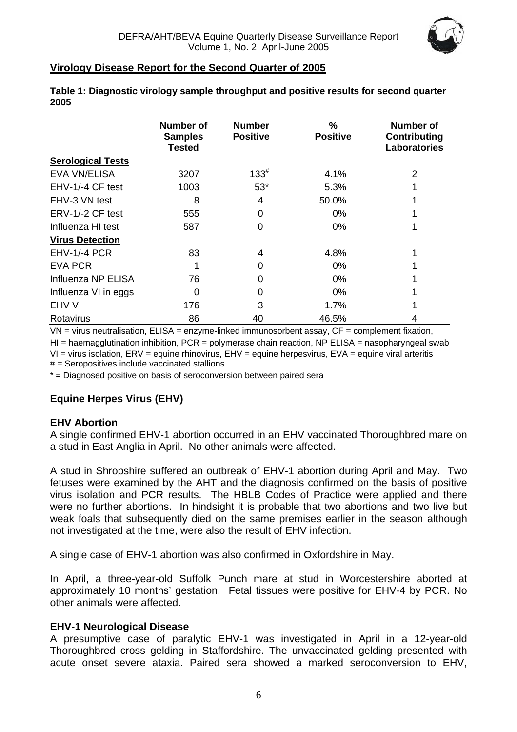

#### <span id="page-5-1"></span><span id="page-5-0"></span>**Virology Disease Report for the Second Quarter of 2005**

**Table 1: Diagnostic virology sample throughput and positive results for second quarter 2005** 

|                          | Number of<br><b>Samples</b><br>Tested | <b>Number</b><br><b>Positive</b> | $\frac{9}{6}$<br><b>Positive</b> | <b>Number of</b><br><b>Contributing</b><br><b>Laboratories</b> |
|--------------------------|---------------------------------------|----------------------------------|----------------------------------|----------------------------------------------------------------|
| <b>Serological Tests</b> |                                       |                                  |                                  |                                                                |
| <b>EVA VN/ELISA</b>      | 3207                                  | $133^{#}$                        | 4.1%                             | 2                                                              |
| EHV-1/-4 CF test         | 1003                                  | $53*$                            | 5.3%                             |                                                                |
| EHV-3 VN test            | 8                                     | 4                                | 50.0%                            |                                                                |
| ERV-1/-2 CF test         | 555                                   | O                                | $0\%$                            |                                                                |
| Influenza HI test        | 587                                   | 0                                | 0%                               |                                                                |
| <b>Virus Detection</b>   |                                       |                                  |                                  |                                                                |
| EHV-1/-4 PCR             | 83                                    | 4                                | 4.8%                             |                                                                |
| EVA PCR                  |                                       |                                  | 0%                               |                                                                |
| Influenza NP ELISA       | 76                                    |                                  | $0\%$                            |                                                                |
| Influenza VI in eggs     | 0                                     |                                  | $0\%$                            |                                                                |
| EHV VI                   | 176                                   | 3                                | 1.7%                             |                                                                |
| Rotavirus                | 86                                    | 40                               | 46.5%                            | 4                                                              |

 $VN =$  virus neutralisation,  $ELISA =$  enzyme-linked immunosorbent assay,  $CF =$  complement fixation,  $H =$  haemagglutination inhibition, PCR = polymerase chain reaction, NP ELISA = nasopharyngeal swab  $VI =$  virus isolation,  $ERV =$  equine rhinovirus,  $EHV =$  equine herpesvirus,  $EVA =$  equine viral arteritis  $#$  = Seropositives include vaccinated stallions

\* = Diagnosed positive on basis of seroconversion between paired sera

#### **Equine Herpes Virus (EHV)**

#### **EHV Abortion**

A single confirmed EHV-1 abortion occurred in an EHV vaccinated Thoroughbred mare on a stud in East Anglia in April. No other animals were affected.

A stud in Shropshire suffered an outbreak of EHV-1 abortion during April and May. Two fetuses were examined by the AHT and the diagnosis confirmed on the basis of positive virus isolation and PCR results. The HBLB Codes of Practice were applied and there were no further abortions. In hindsight it is probable that two abortions and two live but weak foals that subsequently died on the same premises earlier in the season although not investigated at the time, were also the result of EHV infection.

A single case of EHV-1 abortion was also confirmed in Oxfordshire in May.

In April, a three-year-old Suffolk Punch mare at stud in Worcestershire aborted at approximately 10 months' gestation. Fetal tissues were positive for EHV-4 by PCR. No other animals were affected.

#### **EHV-1 Neurological Disease**

A presumptive case of paralytic EHV-1 was investigated in April in a 12-year-old Thoroughbred cross gelding in Staffordshire. The unvaccinated gelding presented with acute onset severe ataxia. Paired sera showed a marked seroconversion to EHV,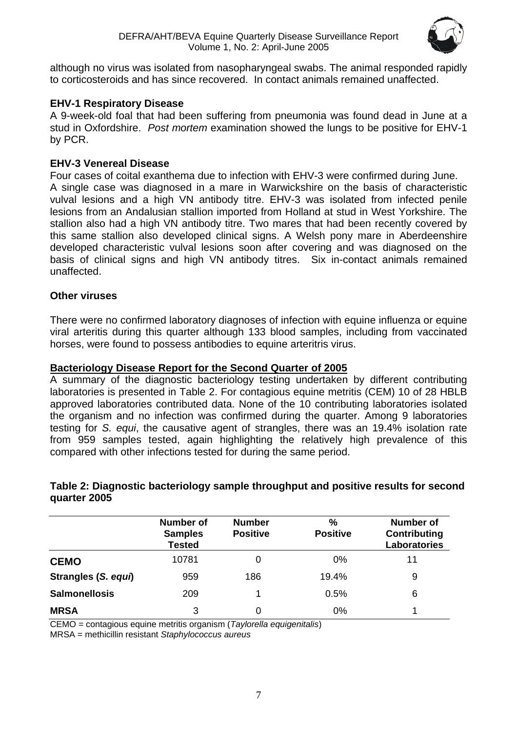

<span id="page-6-1"></span><span id="page-6-0"></span>although no virus was isolated from nasopharyngeal swabs. The animal responded rapidly to corticosteroids and has since recovered. In contact animals remained unaffected.

## **EHV-1 Respiratory Disease**

A 9-week-old foal that had been suffering from pneumonia was found dead in June at a stud in Oxfordshire. *Post mortem* examination showed the lungs to be positive for EHV-1 by PCR.

#### **EHV-3 Venereal Disease**

Four cases of coital exanthema due to infection with EHV-3 were confirmed during June. A single case was diagnosed in a mare in Warwickshire on the basis of characteristic vulval lesions and a high VN antibody titre. EHV-3 was isolated from infected penile lesions from an Andalusian stallion imported from Holland at stud in West Yorkshire. The stallion also had a high VN antibody titre. Two mares that had been recently covered by this same stallion also developed clinical signs. A Welsh pony mare in Aberdeenshire developed characteristic vulval lesions soon after covering and was diagnosed on the basis of clinical signs and high VN antibody titres. Six in-contact animals remained unaffected.

#### **Other viruses**

There were no confirmed laboratory diagnoses of infection with equine influenza or equine viral arteritis during this quarter although 133 blood samples, including from vaccinated horses, were found to possess antibodies to equine arteritris virus.

#### **Bacteriology Disease Report for the Second Quarter of 2005**

A summary of the diagnostic bacteriology testing undertaken by different contributing laboratories is presented in Table 2. For contagious equine metritis (CEM) 10 of 28 HBLB approved laboratories contributed data. None of the 10 contributing laboratories isolated the organism and no infection was confirmed during the quarter. Among 9 laboratories testing for *S. equi*, the causative agent of strangles, there was an 19.4% isolation rate from 959 samples tested, again highlighting the relatively high prevalence of this compared with other infections tested for during the same period.

|                      | <b>Number of</b><br><b>Samples</b><br><b>Tested</b> | <b>Number</b><br><b>Positive</b> | %<br><b>Positive</b> | <b>Number of</b><br>Contributing<br><b>Laboratories</b> |
|----------------------|-----------------------------------------------------|----------------------------------|----------------------|---------------------------------------------------------|
| <b>CEMO</b>          | 10781                                               |                                  | $0\%$                | 11                                                      |
| Strangles (S. equi)  | 959                                                 | 186                              | 19.4%                | 9                                                       |
| <b>Salmonellosis</b> | 209                                                 |                                  | 0.5%                 | 6                                                       |
| <b>MRSA</b>          | 3                                                   | $\Omega$                         | $0\%$                |                                                         |

#### **Table 2: Diagnostic bacteriology sample throughput and positive results for second quarter 2005**

CEMO = contagious equine metritis organism (*Taylorella equigenitalis*)

MRSA = methicillin resistant *Staphylococcus aureus*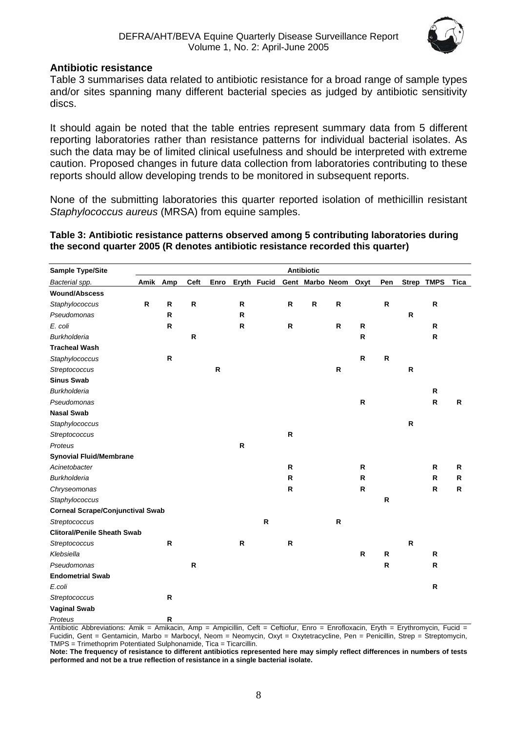

#### <span id="page-7-1"></span><span id="page-7-0"></span>**Antibiotic resistance**

Table 3 summarises data related to antibiotic resistance for a broad range of sample types and/or sites spanning many different bacterial species as judged by antibiotic sensitivity discs.

It should again be noted that the table entries represent summary data from 5 different reporting laboratories rather than resistance patterns for individual bacterial isolates. As such the data may be of limited clinical usefulness and should be interpreted with extreme caution. Proposed changes in future data collection from laboratories contributing to these reports should allow developing trends to be monitored in subsequent reports.

None of the submitting laboratories this quarter reported isolation of methicillin resistant *Staphylococcus aureus* (MRSA) from equine samples.

**Table 3: Antibiotic resistance patterns observed among 5 contributing laboratories during the second quarter 2005 (R denotes antibiotic resistance recorded this quarter)** 

| <b>Sample Type/Site</b>                 |          |              |           |              |              |             |              | <b>Antibiotic</b> |   |           |             |              |              |              |
|-----------------------------------------|----------|--------------|-----------|--------------|--------------|-------------|--------------|-------------------|---|-----------|-------------|--------------|--------------|--------------|
| Bacterial spp.                          | Amik Amp |              | $C$ eft   | Enro         |              | Eryth Fucid |              | Gent Marbo Neom   |   | Oxyt      | Pen         | <b>Strep</b> | <b>TMPS</b>  | Tica         |
| <b>Wound/Abscess</b>                    |          |              |           |              |              |             |              |                   |   |           |             |              |              |              |
| Staphylococcus                          | R        | ${\sf R}$    | ${\sf R}$ |              | R            |             | R            | R                 | R |           | $\mathsf R$ |              | R            |              |
| Pseudomonas                             |          | $\mathsf{R}$ |           |              | R            |             |              |                   |   |           |             | R            |              |              |
| E. coli                                 |          | $\mathsf{R}$ |           |              | $\mathsf{R}$ |             | R            |                   | R | R         |             |              | R            |              |
| <b>Burkholderia</b>                     |          |              | ${\sf R}$ |              |              |             |              |                   |   | R         |             |              | ${\sf R}$    |              |
| <b>Tracheal Wash</b>                    |          |              |           |              |              |             |              |                   |   |           |             |              |              |              |
| Staphylococcus                          |          | ${\sf R}$    |           |              |              |             |              |                   |   | R         | R           |              |              |              |
| Streptococcus                           |          |              |           | $\mathsf{R}$ |              |             |              |                   | R |           |             | $\mathsf{R}$ |              |              |
| <b>Sinus Swab</b>                       |          |              |           |              |              |             |              |                   |   |           |             |              |              |              |
| <b>Burkholderia</b>                     |          |              |           |              |              |             |              |                   |   |           |             |              | $\mathsf{R}$ |              |
| Pseudomonas                             |          |              |           |              |              |             |              |                   |   | R         |             |              | ${\sf R}$    | $\mathsf{R}$ |
| <b>Nasal Swab</b>                       |          |              |           |              |              |             |              |                   |   |           |             |              |              |              |
| Staphylococcus                          |          |              |           |              |              |             |              |                   |   |           |             | ${\sf R}$    |              |              |
| Streptococcus                           |          |              |           |              |              |             | $\mathsf{R}$ |                   |   |           |             |              |              |              |
| Proteus                                 |          |              |           |              | $\mathsf{R}$ |             |              |                   |   |           |             |              |              |              |
| <b>Synovial Fluid/Membrane</b>          |          |              |           |              |              |             |              |                   |   |           |             |              |              |              |
| Acinetobacter                           |          |              |           |              |              |             | R            |                   |   | R         |             |              | R            | $\mathsf{R}$ |
| <b>Burkholderia</b>                     |          |              |           |              |              |             | R            |                   |   | ${\sf R}$ |             |              | ${\sf R}$    | R            |
| Chryseomonas                            |          |              |           |              |              |             | R            |                   |   | R         |             |              | R            | $\mathsf R$  |
| Staphylococcus                          |          |              |           |              |              |             |              |                   |   |           | $\mathsf R$ |              |              |              |
| <b>Corneal Scrape/Conjunctival Swab</b> |          |              |           |              |              |             |              |                   |   |           |             |              |              |              |
| Streptococcus                           |          |              |           |              |              | ${\sf R}$   |              |                   | R |           |             |              |              |              |
| <b>Clitoral/Penile Sheath Swab</b>      |          |              |           |              |              |             |              |                   |   |           |             |              |              |              |
| Streptococcus                           |          | $\mathsf{R}$ |           |              | R            |             | R            |                   |   |           |             | $\mathsf{R}$ |              |              |
| Klebsiella                              |          |              |           |              |              |             |              |                   |   | ${\sf R}$ | R           |              | R            |              |
| Pseudomonas                             |          |              | ${\sf R}$ |              |              |             |              |                   |   |           | $\mathsf R$ |              | ${\sf R}$    |              |
| <b>Endometrial Swab</b>                 |          |              |           |              |              |             |              |                   |   |           |             |              |              |              |
| E.coli                                  |          |              |           |              |              |             |              |                   |   |           |             |              | R            |              |
| Streptococcus                           |          | $\mathsf{R}$ |           |              |              |             |              |                   |   |           |             |              |              |              |
| <b>Vaginal Swab</b>                     |          |              |           |              |              |             |              |                   |   |           |             |              |              |              |
| Proteus                                 |          | $\mathsf{R}$ |           |              |              |             |              |                   |   |           |             |              |              |              |

Antibiotic Abbreviations: Amik = Amikacin, Amp = Ampicillin, Ceft = Ceftiofur, Enro = Enrofloxacin, Eryth = Erythromycin, Fucid = Fucidin, Gent = Gentamicin, Marbo = Marbocyl, Neom = Neomycin, Oxyt = Oxytetracycline, Pen = Penicillin, Strep = Streptomycin, TMPS = Trimethoprim Potentiated Sulphonamide, Tica = Ticarcillin.

**Note: The frequency of resistance to different antibiotics represented here may simply reflect differences in numbers of tests performed and not be a true reflection of resistance in a single bacterial isolate.**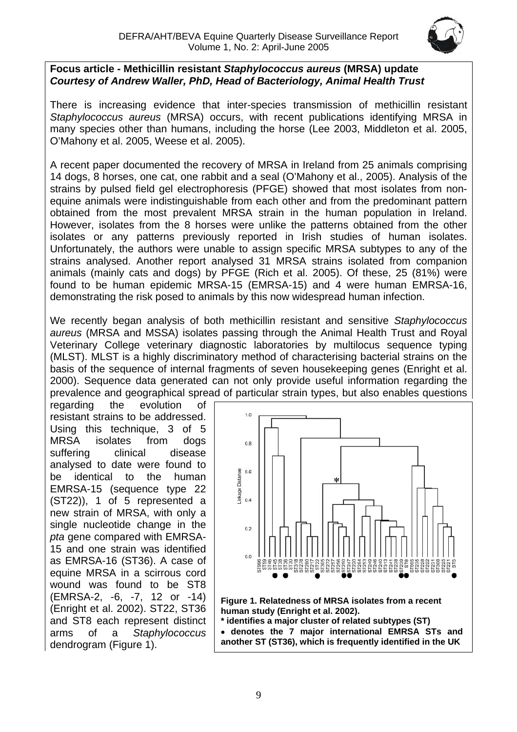

#### <span id="page-8-1"></span><span id="page-8-0"></span>**Focus article - Methicillin resistant** *Staphylococcus aureus* **(MRSA) update**  *Courtesy of Andrew Waller, PhD, Head of Bacteriology, Animal Health Trust*

There is increasing evidence that inter-species transmission of methicillin resistant *Staphylococcus aureus* (MRSA) occurs, with recent publications identifying MRSA in many species other than humans, including the horse (Lee 2003, Middleton et al. 2005, O'Mahony et al. 2005, Weese et al. 2005).

A recent paper documented the recovery of MRSA in Ireland from 25 animals comprising 14 dogs, 8 horses, one cat, one rabbit and a seal (O'Mahony et al., 2005). Analysis of the strains by pulsed field gel electrophoresis (PFGE) showed that most isolates from nonequine animals were indistinguishable from each other and from the predominant pattern obtained from the most prevalent MRSA strain in the human population in Ireland. However, isolates from the 8 horses were unlike the patterns obtained from the other isolates or any patterns previously reported in Irish studies of human isolates. Unfortunately, the authors were unable to assign specific MRSA subtypes to any of the strains analysed. Another report analysed 31 MRSA strains isolated from companion animals (mainly cats and dogs) by PFGE (Rich et al. 2005). Of these, 25 (81%) were found to be human epidemic MRSA-15 (EMRSA-15) and 4 were human EMRSA-16, demonstrating the risk posed to animals by this now widespread human infection.

We recently began analysis of both methicillin resistant and sensitive *Staphylococcus aureus* (MRSA and MSSA) isolates passing through the Animal Health Trust and Royal Veterinary College veterinary diagnostic laboratories by multilocus sequence typing (MLST). MLST is a highly discriminatory method of characterising bacterial strains on the basis of the sequence of internal fragments of seven housekeeping genes (Enright et al. 2000). Sequence data generated can not only provide useful information regarding the prevalence and geographical spread of particular strain types, but also enables questions

regarding the evolution of resistant strains to be addressed. Using this technique, 3 of 5 MRSA isolates from dogs suffering clinical disease analysed to date were found to be identical to the human EMRSA-15 (sequence type 22 (ST22)), 1 of 5 represented a new strain of MRSA, with only a single nucleotide change in the *pta* gene compared with EMRSA-15 and one strain was identified as EMRSA-16 (ST36). A case of equine MRSA in a scirrous cord wound was found to be ST8 (EMRSA-2, -6, -7, 12 or -14) (Enright et al. 2002). ST22, ST36 and ST8 each represent distinct arms of a *Staphylococcus* dendrogram (Figure 1).



• **denotes the 7 major international EMRSA STs and another ST (ST36), which is frequently identified in the UK**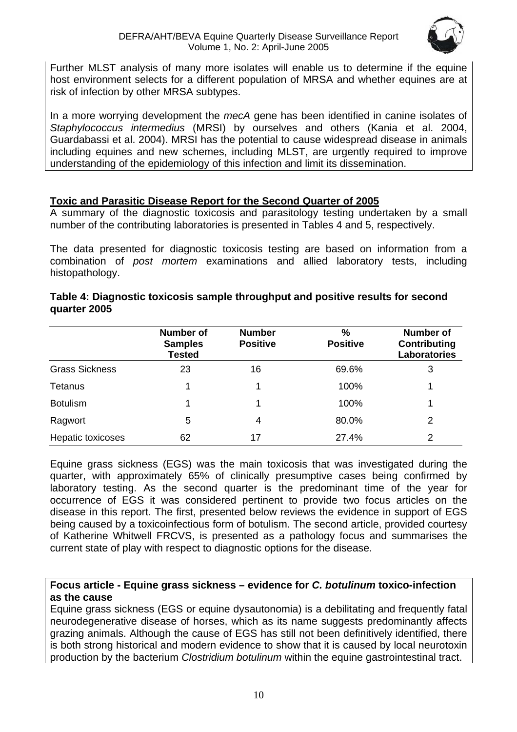

<span id="page-9-1"></span><span id="page-9-0"></span>Further MLST analysis of many more isolates will enable us to determine if the equine host environment selects for a different population of MRSA and whether equines are at risk of infection by other MRSA subtypes.

In a more worrying development the *mecA* gene has been identified in canine isolates of *Staphylococcus intermedius* (MRSI) by ourselves and others (Kania et al. 2004, Guardabassi et al. 2004). MRSI has the potential to cause widespread disease in animals including equines and new schemes, including MLST, are urgently required to improve understanding of the epidemiology of this infection and limit its dissemination.

## **Toxic and Parasitic Disease Report for the Second Quarter of 2005**

A summary of the diagnostic toxicosis and parasitology testing undertaken by a small number of the contributing laboratories is presented in Tables 4 and 5, respectively.

The data presented for diagnostic toxicosis testing are based on information from a combination of *post mortem* examinations and allied laboratory tests, including histopathology.

|                       | <b>Number of</b><br><b>Samples</b><br><b>Tested</b> | <b>Number</b><br><b>Positive</b> | %<br><b>Positive</b> | <b>Number of</b><br><b>Contributing</b><br><b>Laboratories</b> |
|-----------------------|-----------------------------------------------------|----------------------------------|----------------------|----------------------------------------------------------------|
| <b>Grass Sickness</b> | 23                                                  | 16                               | 69.6%                | 3                                                              |
| Tetanus               |                                                     |                                  | 100%                 |                                                                |
| <b>Botulism</b>       |                                                     |                                  | 100%                 |                                                                |
| Ragwort               | 5                                                   | 4                                | 80.0%                | 2                                                              |
| Hepatic toxicoses     | 62                                                  | 17                               | 27.4%                | 2                                                              |

#### **Table 4: Diagnostic toxicosis sample throughput and positive results for second quarter 2005**

Equine grass sickness (EGS) was the main toxicosis that was investigated during the quarter, with approximately 65% of clinically presumptive cases being confirmed by laboratory testing. As the second quarter is the predominant time of the year for occurrence of EGS it was considered pertinent to provide two focus articles on the disease in this report. The first, presented below reviews the evidence in support of EGS being caused by a toxicoinfectious form of botulism. The second article, provided courtesy of Katherine Whitwell FRCVS, is presented as a pathology focus and summarises the current state of play with respect to diagnostic options for the disease.

#### **Focus article - Equine grass sickness – evidence for** *C. botulinum* **toxico-infection as the cause**

Equine grass sickness (EGS or equine dysautonomia) is a debilitating and frequently fatal neurodegenerative disease of horses, which as its name suggests predominantly affects grazing animals. Although the cause of EGS has still not been definitively identified, there is both strong historical and modern evidence to show that it is caused by local neurotoxin production by the bacterium *Clostridium botulinum* within the equine gastrointestinal tract.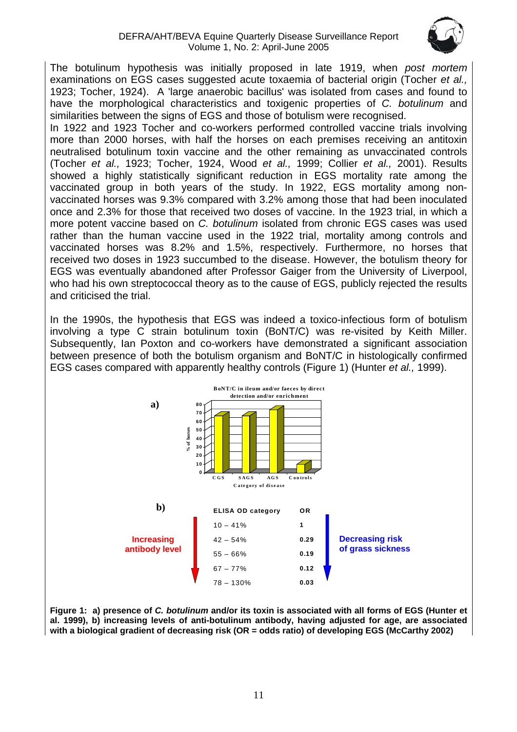

The botulinum hypothesis was initially proposed in late 1919, when *post mortem* examinations on EGS cases suggested acute toxaemia of bacterial origin (Tocher *et al.,* 1923; Tocher, 1924). A 'large anaerobic bacillus' was isolated from cases and found to have the morphological characteristics and toxigenic properties of *C. botulinum* and similarities between the signs of EGS and those of botulism were recognised.

In 1922 and 1923 Tocher and co-workers performed controlled vaccine trials involving more than 2000 horses, with half the horses on each premises receiving an antitoxin neutralised botulinum toxin vaccine and the other remaining as unvaccinated controls (Tocher *et al.,* 1923; Tocher, 1924, Wood *et al.,* 1999; Collier *et al.,* 2001). Results showed a highly statistically significant reduction in EGS mortality rate among the vaccinated group in both years of the study. In 1922, EGS mortality among nonvaccinated horses was 9.3% compared with 3.2% among those that had been inoculated once and 2.3% for those that received two doses of vaccine. In the 1923 trial, in which a more potent vaccine based on *C. botulinum* isolated from chronic EGS cases was used rather than the human vaccine used in the 1922 trial, mortality among controls and vaccinated horses was 8.2% and 1.5%, respectively. Furthermore, no horses that received two doses in 1923 succumbed to the disease. However, the botulism theory for EGS was eventually abandoned after Professor Gaiger from the University of Liverpool, who had his own streptococcal theory as to the cause of EGS, publicly rejected the results and criticised the trial.

In the 1990s, the hypothesis that EGS was indeed a toxico-infectious form of botulism involving a type C strain botulinum toxin (BoNT/C) was re-visited by Keith Miller. Subsequently, Ian Poxton and co-workers have demonstrated a significant association between presence of both the botulism organism and BoNT/C in histologically confirmed EGS cases compared with apparently healthy controls (Figure 1) (Hunter *et al.,* 1999).



**Figure 1: a) presence of** *C. botulinum* **and/or its toxin is associated with all forms of EGS (Hunter et al. 1999), b) increasing levels of anti-botulinum antibody, having adjusted for age, are associated with a biological gradient of decreasing risk (OR = odds ratio) of developing EGS (McCarthy 2002)**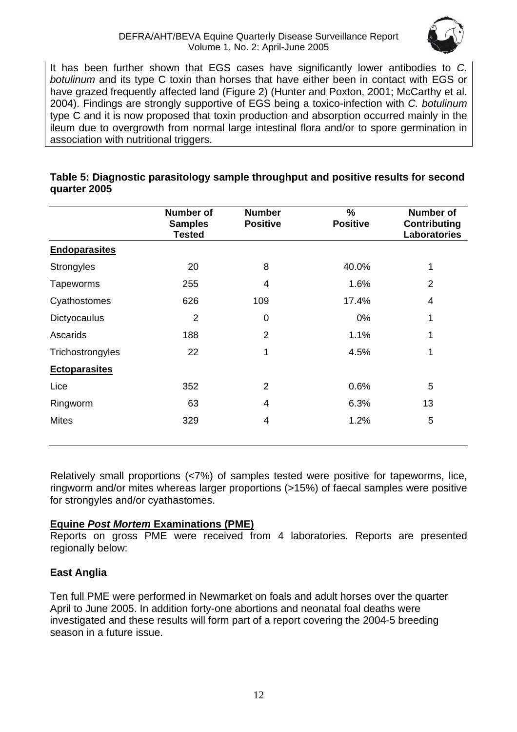#### DEFRA/AHT/BEVA Equine Quarterly Disease Surveillance Report Volume 1, No. 2: April-June 2005



<span id="page-11-1"></span><span id="page-11-0"></span>It has been further shown that EGS cases have significantly lower antibodies to *C. botulinum* and its type C toxin than horses that have either been in contact with EGS or have grazed frequently affected land (Figure 2) (Hunter and Poxton, 2001; McCarthy et al. 2004). Findings are strongly supportive of EGS being a toxico-infection with *C. botulinum* type C and it is now proposed that toxin production and absorption occurred mainly in the ileum due to overgrowth from normal large intestinal flora and/or to spore germination in association with nutritional triggers.

|                      | <b>Number of</b><br><b>Samples</b><br><b>Tested</b> | <b>Number</b><br><b>Positive</b> | $\frac{9}{6}$<br><b>Positive</b> | <b>Number of</b><br><b>Contributing</b><br><b>Laboratories</b> |
|----------------------|-----------------------------------------------------|----------------------------------|----------------------------------|----------------------------------------------------------------|
| <b>Endoparasites</b> |                                                     |                                  |                                  |                                                                |
| <b>Strongyles</b>    | 20                                                  | 8                                | 40.0%                            | 1                                                              |
| Tapeworms            | 255                                                 | 4                                | 1.6%                             | $\overline{2}$                                                 |
| Cyathostomes         | 626                                                 | 109                              | 17.4%                            | 4                                                              |
| Dictyocaulus         | $\overline{2}$                                      | $\mathbf 0$                      | $0\%$                            | 1                                                              |
| Ascarids             | 188                                                 | $\overline{2}$                   | 1.1%                             | 1                                                              |
| Trichostrongyles     | 22                                                  | 1                                | 4.5%                             | 1                                                              |
| <b>Ectoparasites</b> |                                                     |                                  |                                  |                                                                |
| Lice                 | 352                                                 | $\overline{2}$                   | 0.6%                             | 5                                                              |
| Ringworm             | 63                                                  | 4                                | 6.3%                             | 13                                                             |
| <b>Mites</b>         | 329                                                 | 4                                | 1.2%                             | 5                                                              |

## **Table 5: Diagnostic parasitology sample throughput and positive results for second quarter 2005**

Relatively small proportions (<7%) of samples tested were positive for tapeworms, lice, ringworm and/or mites whereas larger proportions (>15%) of faecal samples were positive for strongyles and/or cyathastomes.

## **Equine** *Post Mortem* **Examinations (PME)**

Reports on gross PME were received from 4 laboratories. Reports are presented regionally below:

## **East Anglia**

Ten full PME were performed in Newmarket on foals and adult horses over the quarter April to June 2005. In addition forty-one abortions and neonatal foal deaths were investigated and these results will form part of a report covering the 2004-5 breeding season in a future issue.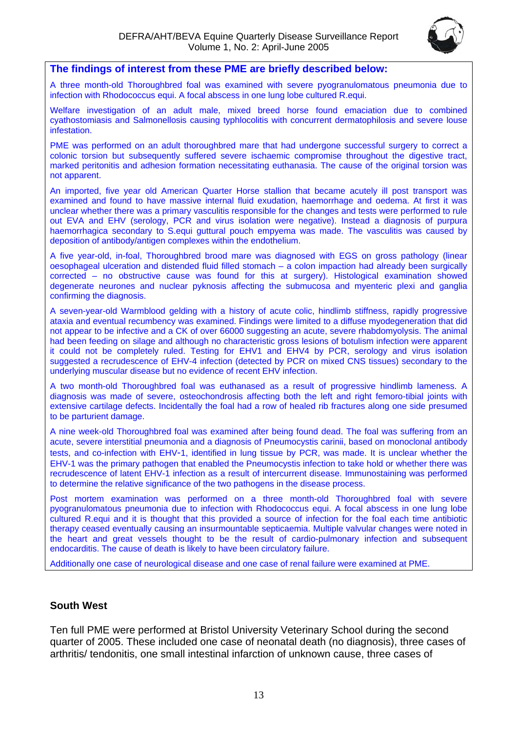

#### <span id="page-12-1"></span><span id="page-12-0"></span>**The findings of interest from these PME are briefly described below:**

A three month-old Thoroughbred foal was examined with severe pyogranulomatous pneumonia due to infection with Rhodococcus equi. A focal abscess in one lung lobe cultured R.equi.

Welfare investigation of an adult male, mixed breed horse found emaciation due to combined cyathostomiasis and Salmonellosis causing typhlocolitis with concurrent dermatophilosis and severe louse infestation.

PME was performed on an adult thoroughbred mare that had undergone successful surgery to correct a colonic torsion but subsequently suffered severe ischaemic compromise throughout the digestive tract, marked peritonitis and adhesion formation necessitating euthanasia. The cause of the original torsion was not apparent.

An imported, five year old American Quarter Horse stallion that became acutely ill post transport was examined and found to have massive internal fluid exudation, haemorrhage and oedema. At first it was unclear whether there was a primary vasculitis responsible for the changes and tests were performed to rule out EVA and EHV (serology, PCR and virus isolation were negative). Instead a diagnosis of purpura haemorrhagica secondary to S.equi guttural pouch empyema was made. The vasculitis was caused by deposition of antibody/antigen complexes within the endothelium.

A five year-old, in-foal, Thoroughbred brood mare was diagnosed with EGS on gross pathology (linear oesophageal ulceration and distended fluid filled stomach – a colon impaction had already been surgically corrected – no obstructive cause was found for this at surgery). Histological examination showed degenerate neurones and nuclear pyknosis affecting the submucosa and myenteric plexi and ganglia confirming the diagnosis.

A seven-year-old Warmblood gelding with a history of acute colic, hindlimb stiffness, rapidly progressive ataxia and eventual recumbency was examined. Findings were limited to a diffuse myodegeneration that did not appear to be infective and a CK of over 66000 suggesting an acute, severe rhabdomyolysis. The animal had been feeding on silage and although no characteristic gross lesions of botulism infection were apparent it could not be completely ruled. Testing for EHV1 and EHV4 by PCR, serology and virus isolation suggested a recrudescence of EHV-4 infection (detected by PCR on mixed CNS tissues) secondary to the underlying muscular disease but no evidence of recent EHV infection.

A two month-old Thoroughbred foal was euthanased as a result of progressive hindlimb lameness. A diagnosis was made of severe, osteochondrosis affecting both the left and right femoro-tibial joints with extensive cartilage defects. Incidentally the foal had a row of healed rib fractures along one side presumed to be parturient damage.

A nine week-old Thoroughbred foal was examined after being found dead. The foal was suffering from an acute, severe interstitial pneumonia and a diagnosis of Pneumocystis carinii, based on monoclonal antibody tests, and co-infection with EHV-1, identified in lung tissue by PCR, was made. It is unclear whether the EHV-1 was the primary pathogen that enabled the Pneumocystis infection to take hold or whether there was recrudescence of latent EHV-1 infection as a result of intercurrent disease. Immunostaining was performed to determine the relative significance of the two pathogens in the disease process.

Post mortem examination was performed on a three month-old Thoroughbred foal with severe pyogranulomatous pneumonia due to infection with Rhodococcus equi. A focal abscess in one lung lobe cultured R.equi and it is thought that this provided a source of infection for the foal each time antibiotic therapy ceased eventually causing an insurmountable septicaemia. Multiple valvular changes were noted in the heart and great vessels thought to be the result of cardio-pulmonary infection and subsequent endocarditis. The cause of death is likely to have been circulatory failure.

Additionally one case of neurological disease and one case of renal failure were examined at PME.

#### **South West**

Ten full PME were performed at Bristol University Veterinary School during the second quarter of 2005. These included one case of neonatal death (no diagnosis), three cases of arthritis/ tendonitis, one small intestinal infarction of unknown cause, three cases of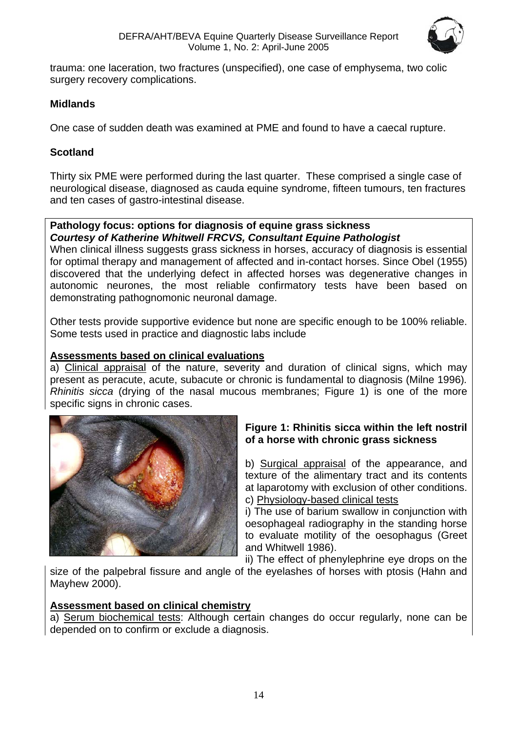

<span id="page-13-1"></span><span id="page-13-0"></span>trauma: one laceration, two fractures (unspecified), one case of emphysema, two colic surgery recovery complications.

## **Midlands**

One case of sudden death was examined at PME and found to have a caecal rupture.

## **Scotland**

Thirty six PME were performed during the last quarter. These comprised a single case of neurological disease, diagnosed as cauda equine syndrome, fifteen tumours, ten fractures and ten cases of gastro-intestinal disease.

#### **Pathology focus: options for diagnosis of equine grass sickness**  *Courtesy of Katherine Whitwell FRCVS, Consultant Equine Pathologist*

When clinical illness suggests grass sickness in horses, accuracy of diagnosis is essential for optimal therapy and management of affected and in-contact horses. Since Obel (1955) discovered that the underlying defect in affected horses was degenerative changes in autonomic neurones, the most reliable confirmatory tests have been based on demonstrating pathognomonic neuronal damage.

Other tests provide supportive evidence but none are specific enough to be 100% reliable. Some tests used in practice and diagnostic labs include

## **Assessments based on clinical evaluations**

a) Clinical appraisal of the nature, severity and duration of clinical signs, which may present as peracute, acute, subacute or chronic is fundamental to diagnosis (Milne 1996)*. Rhinitis sicca* (drying of the nasal mucous membranes; Figure 1) is one of the more specific signs in chronic cases.



## **Figure 1: Rhinitis sicca within the left nostril of a horse with chronic grass sickness**

b) Surgical appraisal of the appearance, and texture of the alimentary tract and its contents at laparotomy with exclusion of other conditions. c) Physiology-based clinical tests

i) The use of barium swallow in conjunction with oesophageal radiography in the standing horse to evaluate motility of the oesophagus (Greet and Whitwell 1986).

ii) The effect of phenylephrine eye drops on the

size of the palpebral fissure and angle of the eyelashes of horses with ptosis (Hahn and Mayhew 2000).

## **Assessment based on clinical chemistry**

a) Serum biochemical tests: Although certain changes do occur regularly, none can be depended on to confirm or exclude a diagnosis.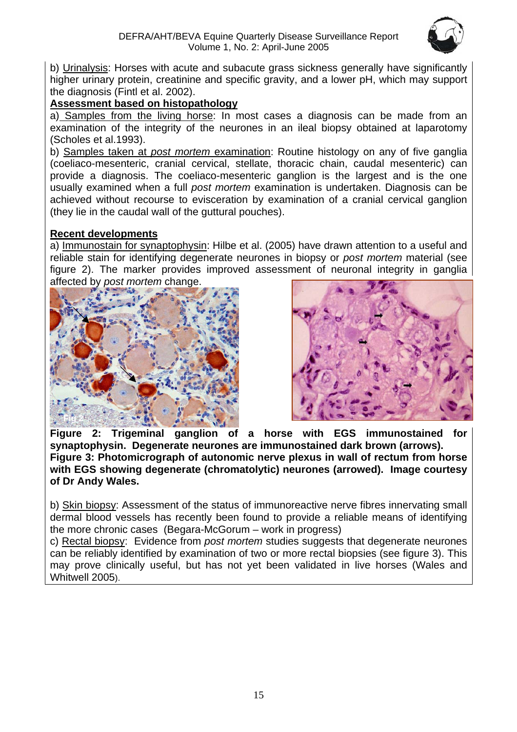

b) Urinalysis: Horses with acute and subacute grass sickness generally have significantly higher urinary protein, creatinine and specific gravity, and a lower pH, which may support the diagnosis (Fintl et al. 2002).

## **Assessment based on histopathology**

a) Samples from the living horse: In most cases a diagnosis can be made from an examination of the integrity of the neurones in an ileal biopsy obtained at laparotomy (Scholes et al.1993).

b) Samples taken at *post mortem* examination: Routine histology on any of five ganglia (coeliaco-mesenteric, cranial cervical, stellate, thoracic chain, caudal mesenteric) can provide a diagnosis. The coeliaco-mesenteric ganglion is the largest and is the one usually examined when a full *post mortem* examination is undertaken. Diagnosis can be achieved without recourse to evisceration by examination of a cranial cervical ganglion (they lie in the caudal wall of the guttural pouches).

## **Recent developments**

a) Immunostain for synaptophysin: Hilbe et al. (2005) have drawn attention to a useful and reliable stain for identifying degenerate neurones in biopsy or *post mortem* material (see figure 2). The marker provides improved assessment of neuronal integrity in ganglia affected by *post mortem* change.





**Figure 2: Trigeminal ganglion of a horse with EGS immunostained for synaptophysin. Degenerate neurones are immunostained dark brown (arrows). Figure 3: Photomicrograph of autonomic nerve plexus in wall of rectum from horse with EGS showing degenerate (chromatolytic) neurones (arrowed). Image courtesy of Dr Andy Wales.** 

b) Skin biopsy: Assessment of the status of immunoreactive nerve fibres innervating small dermal blood vessels has recently been found to provide a reliable means of identifying the more chronic cases (Begara-McGorum – work in progress)

c) Rectal biopsy: Evidence from *post mortem* studies suggests that degenerate neurones can be reliably identified by examination of two or more rectal biopsies (see figure 3). This may prove clinically useful, but has not yet been validated in live horses (Wales and Whitwell 2005).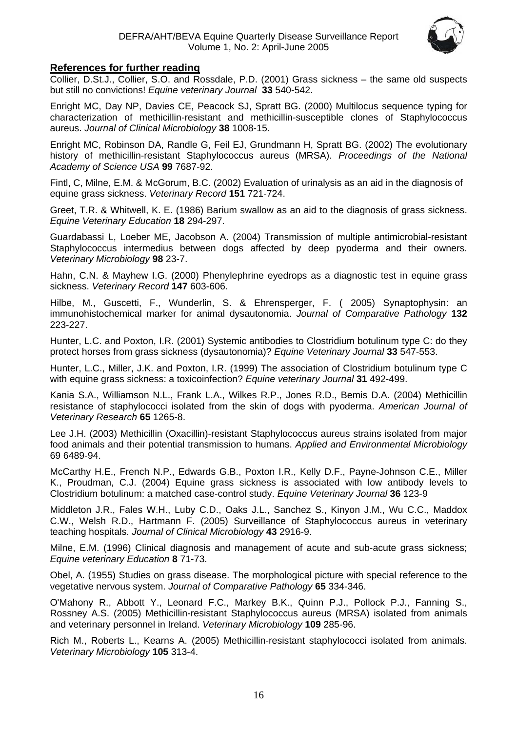

#### <span id="page-15-1"></span><span id="page-15-0"></span>**References for further reading**

Collier, D.St.J., Collier, S.O. and Rossdale, P.D. (2001) Grass sickness – the same old suspects but still no convictions! *Equine veterinary Journal* **33** 540-542.

Enright MC, Day NP, Davies CE, Peacock SJ, Spratt BG. (2000) Multilocus sequence typing for characterization of methicillin-resistant and methicillin-susceptible clones of Staphylococcus aureus. *Journal of Clinical Microbiology* **38** 1008-15.

Enright MC, Robinson DA, Randle G, Feil EJ, Grundmann H, Spratt BG. (2002) The evolutionary history of methicillin-resistant Staphylococcus aureus (MRSA). *Proceedings of the National Academy of Science USA* **99** 7687-92.

Fintl, C, Milne, E.M. & McGorum, B.C. (2002) Evaluation of urinalysis as an aid in the diagnosis of equine grass sickness. *Veterinary Record* **151** 721-724.

Greet, T.R. & Whitwell, K. E. (1986) Barium swallow as an aid to the diagnosis of grass sickness. *Equine Veterinary Education* **18** 294-297.

Guardabassi L, Loeber ME, Jacobson A. (2004) Transmission of multiple antimicrobial-resistant Staphylococcus intermedius between dogs affected by deep pyoderma and their owners. *Veterinary Microbiology* **98** 23-7.

Hahn, C.N. & Mayhew I.G. (2000) Phenylephrine eyedrops as a diagnostic test in equine grass sickness. *Veterinary Record* **147** 603-606.

Hilbe, M., Guscetti, F., Wunderlin, S. & Ehrensperger, F. ( 2005) Synaptophysin: an immunohistochemical marker for animal dysautonomia. *Journal of Comparative Pathology* **132**  223-227.

Hunter, L.C. and Poxton, I.R. (2001) Systemic antibodies to Clostridium botulinum type C: do they protect horses from grass sickness (dysautonomia)? *Equine Veterinary Journal* **33** 547-553.

Hunter, L.C., Miller, J.K. and Poxton, I.R. (1999) The association of Clostridium botulinum type C with equine grass sickness: a toxicoinfection? *Equine veterinary Journal* **31** 492-499.

Kania S.A., Williamson N.L., Frank L.A., Wilkes R.P., Jones R.D., Bemis D.A. (2004) Methicillin resistance of staphylococci isolated from the skin of dogs with pyoderma. *American Journal of Veterinary Research* **65** 1265-8.

Lee J.H. (2003) Methicillin (Oxacillin)-resistant Staphylococcus aureus strains isolated from major food animals and their potential transmission to humans. *Applied and Environmental Microbiology* 69 6489-94.

[McCarthy H.E](http://www.ncbi.nlm.nih.gov/entrez/query.fcgi?db=pubmed&cmd=Search&term=%22McCarthy+HE%22%5BAuthor%5D)., [French N.P.](http://www.ncbi.nlm.nih.gov/entrez/query.fcgi?db=pubmed&cmd=Search&term=%22French+NP%22%5BAuthor%5D), [Edwards G.B.](http://www.ncbi.nlm.nih.gov/entrez/query.fcgi?db=pubmed&cmd=Search&term=%22Edwards+GB%22%5BAuthor%5D), [Poxton I.R.](http://www.ncbi.nlm.nih.gov/entrez/query.fcgi?db=pubmed&cmd=Search&term=%22Poxton+IR%22%5BAuthor%5D), [Kelly D.F](http://www.ncbi.nlm.nih.gov/entrez/query.fcgi?db=pubmed&cmd=Search&term=%22Kelly+DF%22%5BAuthor%5D)., [Payne-Johnson C.E.](http://www.ncbi.nlm.nih.gov/entrez/query.fcgi?db=pubmed&cmd=Search&term=%22Payne%2DJohnson+CE%22%5BAuthor%5D), [Miller](http://www.ncbi.nlm.nih.gov/entrez/query.fcgi?db=pubmed&cmd=Search&term=%22Miller+K%22%5BAuthor%5D)  [K.](http://www.ncbi.nlm.nih.gov/entrez/query.fcgi?db=pubmed&cmd=Search&term=%22Miller+K%22%5BAuthor%5D), [Proudman, C.J](http://www.ncbi.nlm.nih.gov/entrez/query.fcgi?db=pubmed&cmd=Search&term=%22Proudman+CJ%22%5BAuthor%5D). (2004) Equine grass sickness is associated with low antibody levels to Clostridium botulinum: a matched case-control study. *Equine Veterinary Journal* **36** 123-9

Middleton J.R., Fales W.H., Luby C.D., Oaks J.L., Sanchez S., Kinyon J.M., Wu C.C., Maddox C.W., Welsh R.D., Hartmann F. (2005) Surveillance of Staphylococcus aureus in veterinary teaching hospitals. *Journal of Clinical Microbiology* **43** 2916-9.

Milne, E.M. (1996) Clinical diagnosis and management of acute and sub-acute grass sickness; *Equine veterinary Education* **8** 71-73.

Obel, A. (1955) Studies on grass disease. The morphological picture with special reference to the vegetative nervous system. *Journal of Comparative Pathology* **65** 334-346.

O'Mahony R., Abbott Y., Leonard F.C., Markey B.K., Quinn P.J., Pollock P.J., Fanning S., Rossney A.S. (2005) Methicillin-resistant Staphylococcus aureus (MRSA) isolated from animals and veterinary personnel in Ireland. *Veterinary Microbiology* **109** 285-96.

Rich M., Roberts L., Kearns A. (2005) Methicillin-resistant staphylococci isolated from animals. *Veterinary Microbiology* **105** 313-4.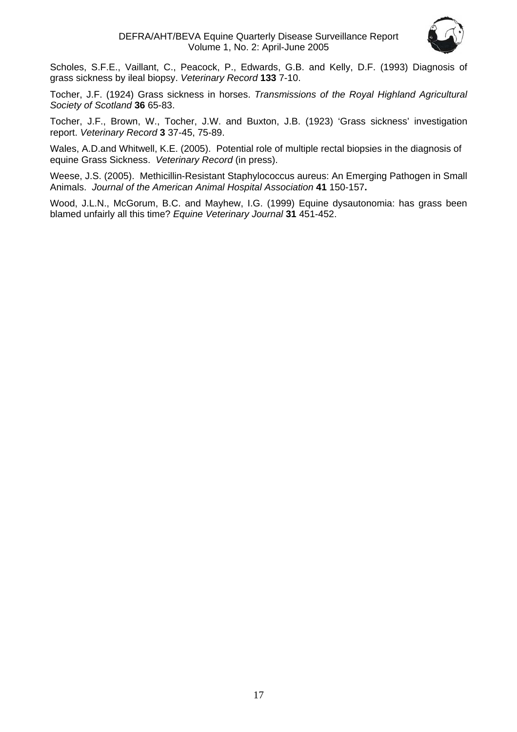

Scholes, S.F.E., Vaillant, C., Peacock, P., Edwards, G.B. and Kelly, D.F. (1993) Diagnosis of grass sickness by ileal biopsy. *Veterinary Record* **133** 7-10.

Tocher, J.F. (1924) Grass sickness in horses. *Transmissions of the Royal Highland Agricultural Society of Scotland* **36** 65-83.

Tocher, J.F., Brown, W., Tocher, J.W. and Buxton, J.B. (1923) 'Grass sickness' investigation report. *Veterinary Record* **3** 37-45, 75-89.

Wales, A.D.and Whitwell, K.E. (2005). Potential role of multiple rectal biopsies in the diagnosis of equine Grass Sickness. *Veterinary Record* (in press).

Weese, J.S. (2005). Methicillin-Resistant Staphylococcus aureus: An Emerging Pathogen in Small Animals. *Journal of the American Animal Hospital Association* **41** 150-157**.**

Wood, J.L.N., McGorum, B.C. and Mayhew, I.G. (1999) Equine dysautonomia: has grass been blamed unfairly all this time? *Equine Veterinary Journal* **31** 451-452.